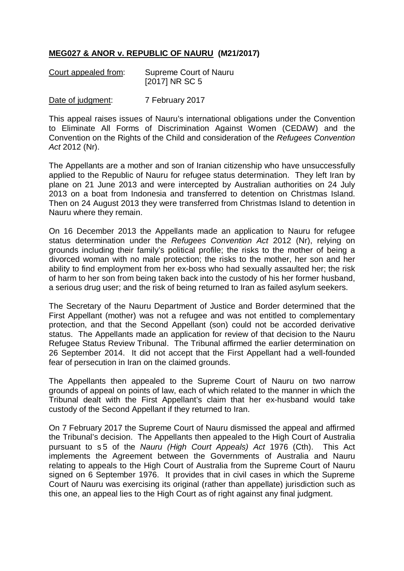## **MEG027 & ANOR v. REPUBLIC OF NAURU (M21/2017)**

| Court appealed from: | <b>Supreme Court of Nauru</b> |
|----------------------|-------------------------------|
|                      | [2017] NR SC 5                |

Date of judgment: 7 February 2017

This appeal raises issues of Nauru's international obligations under the Convention to Eliminate All Forms of Discrimination Against Women (CEDAW) and the Convention on the Rights of the Child and consideration of the *Refugees Convention Act* 2012 (Nr).

The Appellants are a mother and son of Iranian citizenship who have unsuccessfully applied to the Republic of Nauru for refugee status determination. They left Iran by plane on 21 June 2013 and were intercepted by Australian authorities on 24 July 2013 on a boat from Indonesia and transferred to detention on Christmas Island. Then on 24 August 2013 they were transferred from Christmas Island to detention in Nauru where they remain.

On 16 December 2013 the Appellants made an application to Nauru for refugee status determination under the *Refugees Convention Act* 2012 (Nr), relying on grounds including their family's political profile; the risks to the mother of being a divorced woman with no male protection; the risks to the mother, her son and her ability to find employment from her ex-boss who had sexually assaulted her; the risk of harm to her son from being taken back into the custody of his her former husband, a serious drug user; and the risk of being returned to Iran as failed asylum seekers.

The Secretary of the Nauru Department of Justice and Border determined that the First Appellant (mother) was not a refugee and was not entitled to complementary protection, and that the Second Appellant (son) could not be accorded derivative status. The Appellants made an application for review of that decision to the Nauru Refugee Status Review Tribunal. The Tribunal affirmed the earlier determination on 26 September 2014. It did not accept that the First Appellant had a well-founded fear of persecution in Iran on the claimed grounds.

The Appellants then appealed to the Supreme Court of Nauru on two narrow grounds of appeal on points of law, each of which related to the manner in which the Tribunal dealt with the First Appellant's claim that her ex-husband would take custody of the Second Appellant if they returned to Iran.

On 7 February 2017 the Supreme Court of Nauru dismissed the appeal and affirmed the Tribunal's decision. The Appellants then appealed to the High Court of Australia pursuant to s 5 of the *Nauru (High Court Appeals) Act* 1976 (Cth). This Act implements the Agreement between the Governments of Australia and Nauru relating to appeals to the High Court of Australia from the Supreme Court of Nauru signed on 6 September 1976. It provides that in civil cases in which the Supreme Court of Nauru was exercising its original (rather than appellate) jurisdiction such as this one, an appeal lies to the High Court as of right against any final judgment.